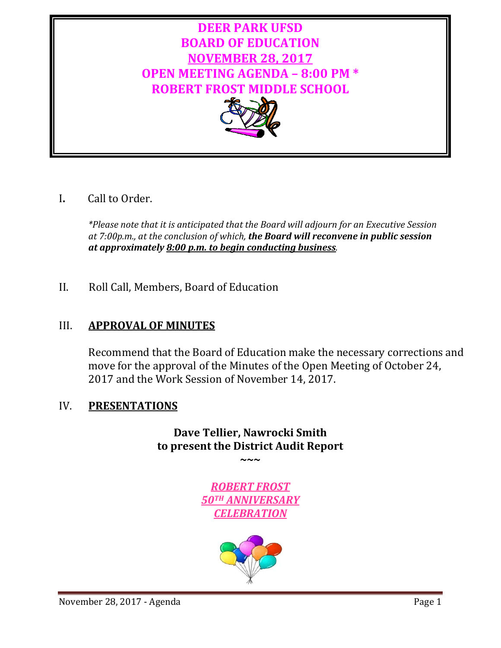

# I**.** Call to Order.

*\*Please note that it is anticipated that the Board will adjourn for an Executive Session at 7:00p.m., at the conclusion of which, the Board will reconvene in public session at approximately 8:00 p.m. to begin conducting business.*

II. Roll Call, Members, Board of Education

# III. **APPROVAL OF MINUTES**

Recommend that the Board of Education make the necessary corrections and move for the approval of the Minutes of the Open Meeting of October 24, 2017 and the Work Session of November 14, 2017.

# IV. **PRESENTATIONS**

# **Dave Tellier, Nawrocki Smith to present the District Audit Report**

**~~~**

*ROBERT FROST 50TH ANNIVERSARY CELEBRATION*

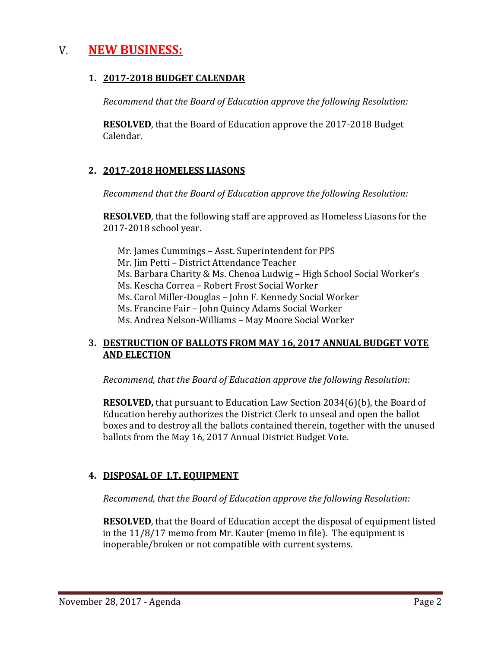# V. **NEW BUSINESS:**

### **1. 2017-2018 BUDGET CALENDAR**

*Recommend that the Board of Education approve the following Resolution:*

**RESOLVED**, that the Board of Education approve the 2017-2018 Budget Calendar.

## **2. 2017-2018 HOMELESS LIASONS**

*Recommend that the Board of Education approve the following Resolution:*

**RESOLVED**, that the following staff are approved as Homeless Liasons for the 2017-2018 school year.

Mr. James Cummings – Asst. Superintendent for PPS Mr. Jim Petti – District Attendance Teacher Ms. Barbara Charity & Ms. Chenoa Ludwig – High School Social Worker's Ms. Kescha Correa – Robert Frost Social Worker Ms. Carol Miller-Douglas – John F. Kennedy Social Worker Ms. Francine Fair – John Quincy Adams Social Worker Ms. Andrea Nelson-Williams – May Moore Social Worker

### **3. DESTRUCTION OF BALLOTS FROM MAY 16, 2017 ANNUAL BUDGET VOTE AND ELECTION**

*Recommend, that the Board of Education approve the following Resolution:*

**RESOLVED,** that pursuant to Education Law Section 2034(6)(b), the Board of Education hereby authorizes the District Clerk to unseal and open the ballot boxes and to destroy all the ballots contained therein, together with the unused ballots from the May 16, 2017 Annual District Budget Vote.

## **4. DISPOSAL OF I.T. EQUIPMENT**

*Recommend, that the Board of Education approve the following Resolution:*

**RESOLVED**, that the Board of Education accept the disposal of equipment listed in the 11/8/17 memo from Mr. Kauter (memo in file). The equipment is inoperable/broken or not compatible with current systems.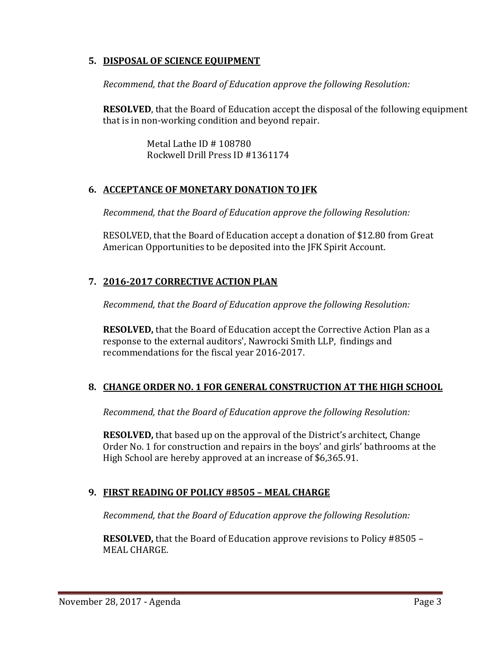### **5. DISPOSAL OF SCIENCE EQUIPMENT**

*Recommend, that the Board of Education approve the following Resolution:*

**RESOLVED**, that the Board of Education accept the disposal of the following equipment that is in non-working condition and beyond repair.

> Metal Lathe ID # 108780 Rockwell Drill Press ID #1361174

## **6. ACCEPTANCE OF MONETARY DONATION TO JFK**

*Recommend, that the Board of Education approve the following Resolution:*

RESOLVED, that the Board of Education accept a donation of \$12.80 from Great American Opportunities to be deposited into the JFK Spirit Account.

## **7. 2016-2017 CORRECTIVE ACTION PLAN**

*Recommend, that the Board of Education approve the following Resolution:*

**RESOLVED,** that the Board of Education accept the Corrective Action Plan as a response to the external auditors', Nawrocki Smith LLP, findings and recommendations for the fiscal year 2016-2017.

## **8. CHANGE ORDER NO. 1 FOR GENERAL CONSTRUCTION AT THE HIGH SCHOOL**

*Recommend, that the Board of Education approve the following Resolution:*

**RESOLVED,** that based up on the approval of the District's architect, Change Order No. 1 for construction and repairs in the boys' and girls' bathrooms at the High School are hereby approved at an increase of \$6,365.91.

## **9. FIRST READING OF POLICY #8505 – MEAL CHARGE**

*Recommend, that the Board of Education approve the following Resolution:*

**RESOLVED,** that the Board of Education approve revisions to Policy #8505 – MEAL CHARGE.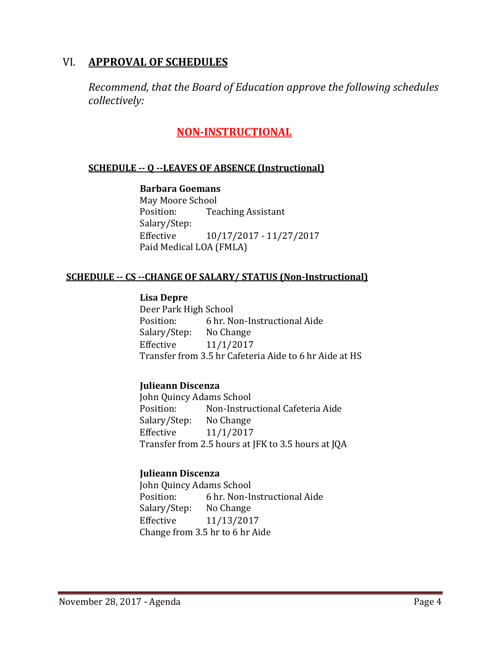# VI. **APPROVAL OF SCHEDULES**

*Recommend, that the Board of Education approve the following schedules collectively:*

# **NON-INSTRUCTIONAL**

#### **SCHEDULE -- Q --LEAVES OF ABSENCE (Instructional)**

#### **Barbara Goemans**

May Moore School<br>Position: Tea **Teaching Assistant** Salary/Step:<br>Effective Effective 10/17/2017 - 11/27/2017 Paid Medical LOA (FMLA)

#### **SCHEDULE -- CS --CHANGE OF SALARY/ STATUS (Non-Instructional)**

#### **Lisa Depre**

Deer Park High School<br>Position: 6 hr. N 6 hr. Non-Instructional Aide<br>No Change Salary/Step: Effective 11/1/2017 Transfer from 3.5 hr Cafeteria Aide to 6 hr Aide at HS

#### **Julieann Discenza**

John Quincy Adams School<br>Position: Non-Instrue Non-Instructional Cafeteria Aide<br>No Change Salary/Step:<br>Effective Effective 11/1/2017 Transfer from 2.5 hours at JFK to 3.5 hours at JQA

#### **Julieann Discenza**

John Quincy Adams School<br>Position: 6 hr. Non-In 6 hr. Non-Instructional Aide<br>No Change Salary/Step: Effective 11/13/2017 Change from 3.5 hr to 6 hr Aide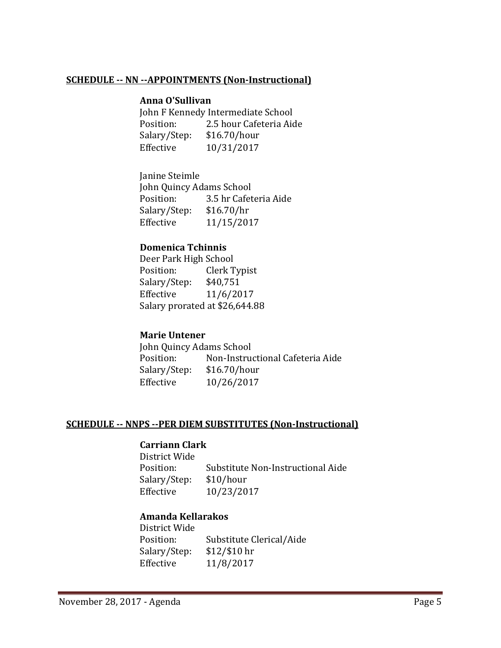#### **SCHEDULE -- NN --APPOINTMENTS (Non-Instructional)**

#### **Anna O'Sullivan**

John F Kennedy Intermediate School<br>Position: 2.5 hour Cafeteria Aid 2.5 hour Cafeteria Aide<br>\$16.70/hour Salary/Step: Effective 10/31/2017

Janine Steimle John Quincy Adams School<br>Position: 3.5 hr Cafet 3.5 hr Cafeteria Aide<br>\$16.70/hr Salary/Step:<br>Effective Effective 11/15/2017

#### **Domenica Tchinnis**

Deer Park High School<br>Position: Clerk T Clerk Typist<br>\$40,751 Salary/Step:<br>Effective Effective 11/6/2017 Salary prorated at \$26,644.88

#### **Marie Untener**

John Quincy Adams School<br>Position: Non-Instrue Non-Instructional Cafeteria Aide<br>\$16.70/hour Salary/Step:<br>Effective Effective 10/26/2017

#### **SCHEDULE -- NNPS --PER DIEM SUBSTITUTES (Non-Instructional)**

#### **Carriann Clark**

District Wide Substitute Non-Instructional Aide<br>\$10/hour Salary/Step:<br>Effective Effective 10/23/2017

#### **Amanda Kellarakos**

District Wide Substitute Clerical/Aide<br>\$12/\$10 hr Salary/Step:<br>Effective Effective 11/8/2017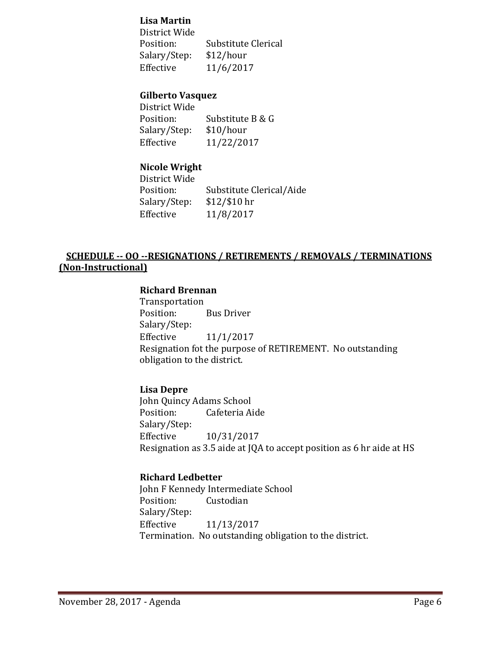#### **Lisa Martin**

District Wide Substitute Clerical<br>\$12/hour Salary/Step:<br>Effective Effective 11/6/2017

#### **Gilberto Vasquez**

District Wide Substitute B & G<br>\$10/hour Salary/Step:<br>Effective Effective 11/22/2017

#### **Nicole Wright**

District Wide Substitute Clerical/Aide<br>\$12/\$10 hr Salary/Step:<br>Effective Effective 11/8/2017

### **SCHEDULE -- OO --RESIGNATIONS / RETIREMENTS / REMOVALS / TERMINATIONS (Non-Instructional)**

#### **Richard Brennan**

Transportation<br>Position: **Bus Driver** Salary/Step:<br>Effective  $11/1/2017$ Resignation fot the purpose of RETIREMENT. No outstanding obligation to the district.

#### **Lisa Depre**

John Quincy Adams School<br>Position: Cafeteria Ai Cafeteria Aide Salary/Step:<br>Effective Effective 10/31/2017 Resignation as 3.5 aide at JQA to accept position as 6 hr aide at HS

#### **Richard Ledbetter**

John F Kennedy Intermediate School<br>Position: Custodian Custodian Salary/Step: Effective 11/13/2017 Termination. No outstanding obligation to the district.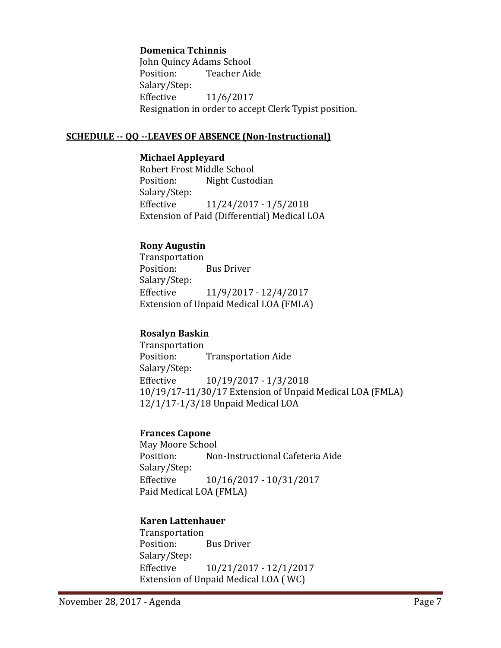#### **Domenica Tchinnis**

John Quincy Adams School Teacher Aide Salary/Step:<br>Effective Effective 11/6/2017 Resignation in order to accept Clerk Typist position.

#### **SCHEDULE -- QQ --LEAVES OF ABSENCE (Non-Instructional)**

#### **Michael Appleyard**

Robert Frost Middle School<br>Position: Night Custoo Night Custodian Salary/Step: Effective 11/24/2017 - 1/5/2018 Extension of Paid (Differential) Medical LOA

#### **Rony Augustin**

Transportation **Bus Driver** Salary/Step:<br>Effective Effective 11/9/2017 - 12/4/2017 Extension of Unpaid Medical LOA (FMLA)

#### **Rosalyn Baskin**

Transportation<br>Position: **Transportation Aide** Salary/Step:<br>Effective Effective 10/19/2017 - 1/3/2018 10/19/17-11/30/17 Extension of Unpaid Medical LOA (FMLA) 12/1/17-1/3/18 Unpaid Medical LOA

### **Frances Capone**

May Moore School<br>Position: No Non-Instructional Cafeteria Aide Salary/Step:<br>Effective Effective 10/16/2017 - 10/31/2017 Paid Medical LOA (FMLA)

#### **Karen Lattenhauer**

Transportation **Bus Driver** Salary/Step: Effective 10/21/2017 - 12/1/2017 Extension of Unpaid Medical LOA ( WC)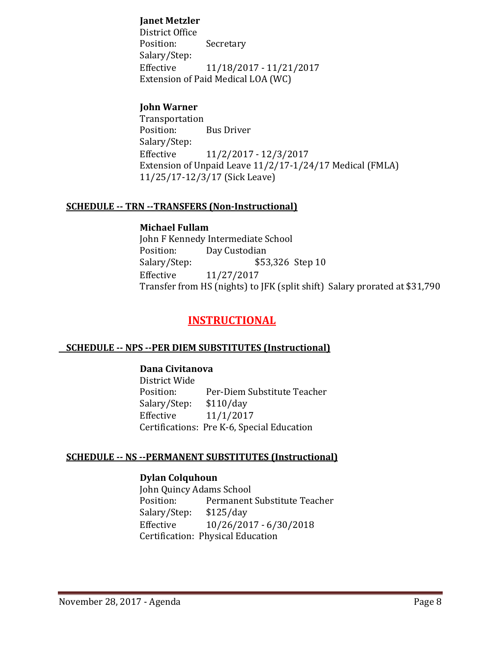### **Janet Metzler**

District Office Secretary Salary/Step: Effective 11/18/2017 - 11/21/2017 Extension of Paid Medical LOA (WC)

### **John Warner**

Transportation **Bus Driver** Salary/Step:<br>Effective Effective 11/2/2017 - 12/3/2017 Extension of Unpaid Leave 11/2/17-1/24/17 Medical (FMLA) 11/25/17-12/3/17 (Sick Leave)

#### **SCHEDULE -- TRN --TRANSFERS (Non-Instructional)**

#### **Michael Fullam**

John F Kennedy Intermediate School<br>Position: Day Custodian Position: Day Custodian<br>Salary/Step: \$53 Salary/Step: \$53,326 Step 10<br>Effective 11/27/2017 Effective 11/27/2017 Transfer from HS (nights) to JFK (split shift) Salary prorated at \$31,790

# **INSTRUCTIONAL**

#### **SCHEDULE -- NPS --PER DIEM SUBSTITUTES (Instructional)**

#### **Dana Civitanova**

District Wide Per-Diem Substitute Teacher<br>\$110/day Salary/Step: Effective 11/1/2017 Certifications: Pre K-6, Special Education

#### **SCHEDULE -- NS --PERMANENT SUBSTITUTES (Instructional)**

#### **Dylan Colquhoun**

John Quincy Adams School Permanent Substitute Teacher<br>\$125/day Salary/Step:<br>Effective Effective 10/26/2017 - 6/30/2018 Certification: Physical Education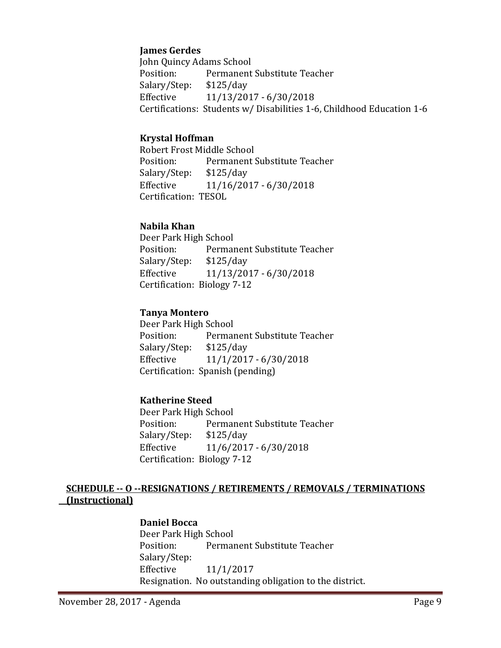### **James Gerdes**

John Quincy Adams School Permanent Substitute Teacher<br>\$125/day Salary/Step:<br>Effective Effective 11/13/2017 - 6/30/2018 Certifications: Students w/ Disabilities 1-6, Childhood Education 1-6

### **Krystal Hoffman**

Robert Frost Middle School<br>Position: Permanent! Permanent Substitute Teacher<br>\$125/day Salary/Step:<br>Effective Effective 11/16/2017 - 6/30/2018 Certification: TESOL

### **Nabila Khan**

Deer Park High School<br>Position: Permai Permanent Substitute Teacher<br>\$125/day Salary/Step: Effective 11/13/2017 - 6/30/2018 Certification: Biology 7-12

### **Tanya Montero**

Deer Park High School<br>Position: Permar Permanent Substitute Teacher<br>\$125/day Salary/Step:<br>Effective Effective 11/1/2017 - 6/30/2018 Certification: Spanish (pending)

## **Katherine Steed**

Deer Park High School<br>Position: Permai Permanent Substitute Teacher<br>\$125/day Salary/Step: Effective 11/6/2017 - 6/30/2018 Certification: Biology 7-12

### **SCHEDULE -- O --RESIGNATIONS / RETIREMENTS / REMOVALS / TERMINATIONS (Instructional)**

#### **Daniel Bocca**

Deer Park High School Permanent Substitute Teacher Salary/Step: Effective 11/1/2017 Resignation. No outstanding obligation to the district.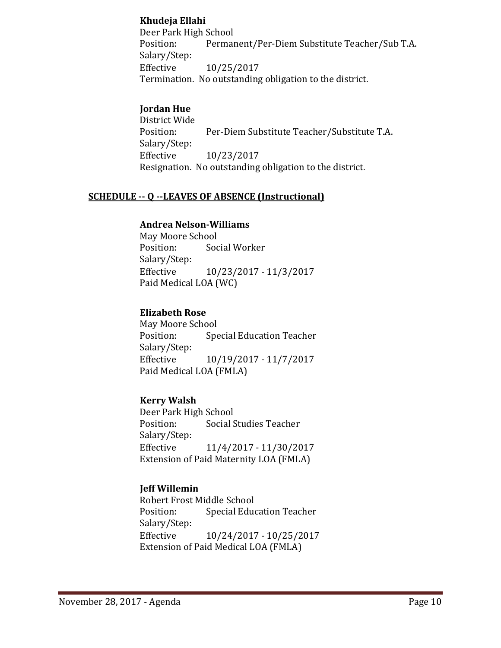### **Khudeja Ellahi**

Deer Park High School<br>Position: Permai Permanent/Per-Diem Substitute Teacher/Sub T.A. Salary/Step: Effective 10/25/2017 Termination. No outstanding obligation to the district.

# **Jordan Hue**

District Wide Per-Diem Substitute Teacher/Substitute T.A. Salary/Step:<br>Effective Effective 10/23/2017 Resignation. No outstanding obligation to the district.

### **SCHEDULE -- Q --LEAVES OF ABSENCE (Instructional)**

### **Andrea Nelson-Williams**

May Moore School<br>Position: Soc Social Worker Salary/Step:<br>Effective Effective 10/23/2017 - 11/3/2017 Paid Medical LOA (WC)

### **Elizabeth Rose**

May Moore School<br>Position: Spe **Special Education Teacher** Salary/Step:<br>Effective Effective 10/19/2017 - 11/7/2017 Paid Medical LOA (FMLA)

## **Kerry Walsh**

Deer Park High School<br>Position: Social S Social Studies Teacher Salary/Step:<br>Effective Effective 11/4/2017 - 11/30/2017 Extension of Paid Maternity LOA (FMLA)

## **Jeff Willemin**

Robert Frost Middle School<br>Position: Special Educ **Special Education Teacher** Salary/Step: Effective 10/24/2017 - 10/25/2017 Extension of Paid Medical LOA (FMLA)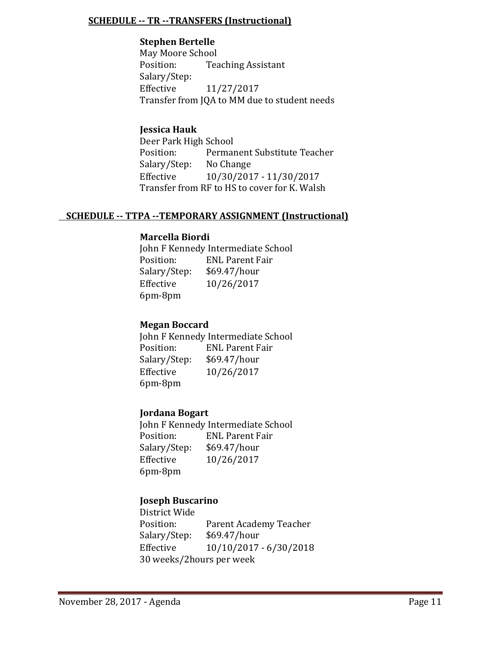### **SCHEDULE -- TR --TRANSFERS (Instructional)**

### **Stephen Bertelle**

May Moore School<br>Position: Tea **Teaching Assistant** Salary/Step:<br>Effective Effective 11/27/2017 Transfer from JQA to MM due to student needs

# **Jessica Hauk**

Deer Park High School<br>Position: Permai Permanent Substitute Teacher<br>No Change Salary/Step:<br>Effective Effective 10/30/2017 - 11/30/2017 Transfer from RF to HS to cover for K. Walsh

## **SCHEDULE -- TTPA --TEMPORARY ASSIGNMENT (Instructional)**

### **Marcella Biordi**

John F Kennedy Intermediate School<br>Position: ENL Parent Fair ENL Parent Fair<br>\$69.47/hour Salary/Step:<br>Effective Effective 10/26/2017 6pm-8pm

## **Megan Boccard**

John F Kennedy Intermediate School<br>Position: FNL Parent Fair ENL Parent Fair<br>\$69.47/hour Salary/Step:<br>Effective Effective 10/26/2017 6pm-8pm

#### **Jordana Bogart**

John F Kennedy Intermediate School<br>Position: ENL Parent Fair ENL Parent Fair<br>\$69.47/hour Salary/Step:<br>Effective Effective 10/26/2017 6pm-8pm

## **Joseph Buscarino**

District Wide Parent Academy Teacher<br>\$69.47/hour Salary/Step: Effective 10/10/2017 - 6/30/2018 30 weeks/2hours per week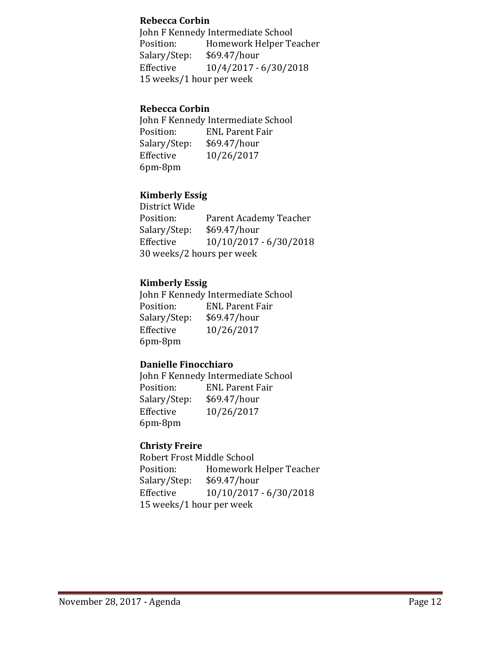#### **Rebecca Corbin**

John F Kennedy Intermediate School Position: Homework Helper Teacher<br>Salary/Step: \$69.47/hour Salary/Step:<br>Effective Effective 10/4/2017 - 6/30/2018 15 weeks/1 hour per week

### **Rebecca Corbin**

John F Kennedy Intermediate School<br>Position: ENL Parent Fair ENL Parent Fair<br>\$69.47/hour Salary/Step:<br>Effective Effective 10/26/2017 6pm-8pm

### **Kimberly Essig**

District Wide Parent Academy Teacher<br>\$69.47/hour Salary/Step:<br>Effective Effective 10/10/2017 - 6/30/2018 30 weeks/2 hours per week

### **Kimberly Essig**

John F Kennedy Intermediate School<br>Position: ENL Parent Fair ENL Parent Fair<br>\$69.47/hour Salary/Step:<br>Effective Effective 10/26/2017 6pm-8pm

#### **Danielle Finocchiaro**

John F Kennedy Intermediate School<br>Position: ENL Parent Fair ENL Parent Fair<br>\$69.47/hour Salary/Step:<br>Effective Effective 10/26/2017 6pm-8pm

## **Christy Freire**

Robert Frost Middle School<br>Position: Homework l Homework Helper Teacher<br>\$69.47/hour Salary/Step:<br>Effective Effective 10/10/2017 - 6/30/2018 15 weeks/1 hour per week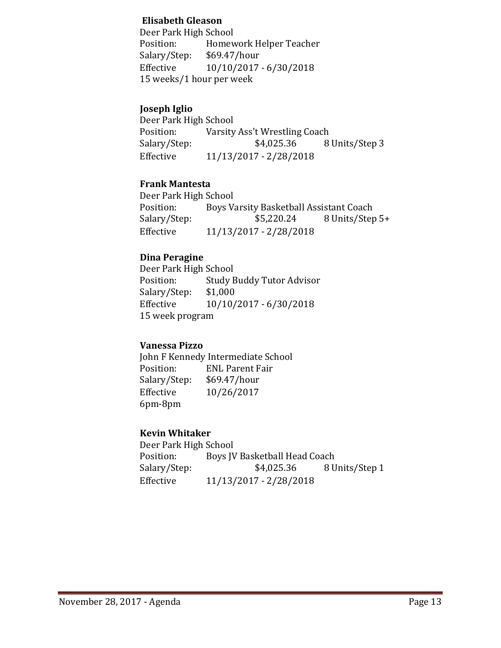### **Elisabeth Gleason**

Deer Park High School Position: Homework Helper Teacher<br>Salary/Step: \$69.47/hour Salary/Step: \$69.47/hour<br>Effective 10/10/2017 Effective 10/10/2017 - 6/30/2018 15 weeks/1 hour per week

## **Joseph Iglio**

Deer Park High School<br>Position: Varsity Position: Varsity Ass't Wrestling Coach<br>Salary/Step: \$4,025.36 8 8 Units/Step 3 Effective 11/13/2017 - 2/28/2018

## **Frank Mantesta**

Deer Park High School<br>Position: Boys Va Position: Boys Varsity Basketball Assistant Coach<br>Salary/Step: \$5,220.24 8 Units/Step Salary/Step: \$5,220.24 8 Units/Step 5+<br>Effective 11/13/2017 - 2/28/2018 Effective 11/13/2017 - 2/28/2018

### **Dina Peragine**

Deer Park High School<br>Position: Study E Study Buddy Tutor Advisor<br>\$1,000 Salary/Step:<br>Effective Effective 10/10/2017 - 6/30/2018 15 week program

#### **Vanessa Pizzo**

John F Kennedy Intermediate School<br>Position: ENL Parent Fair ENL Parent Fair<br>\$69.47/hour Salary/Step:<br>Effective Effective 10/26/2017 6pm-8pm

## **Kevin Whitaker**

Deer Park High School<br>Position: Boys JV Position: Boys JV Basketball Head Coach<br>Salary/Step: \$4,025.36 8 U 8 Units/Step 1 Effective 11/13/2017 - 2/28/2018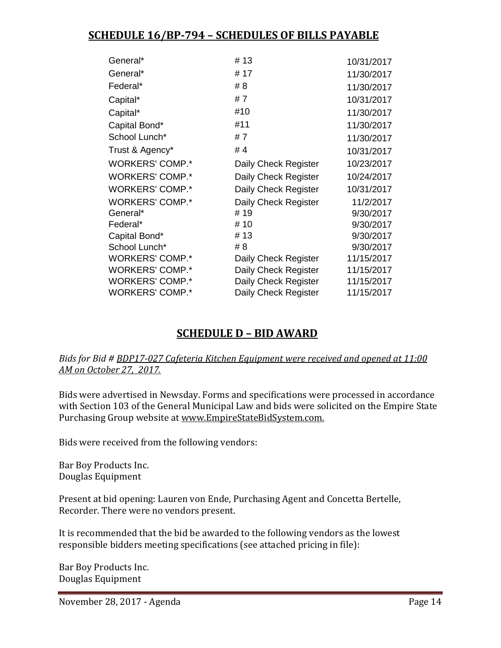# **SCHEDULE 16/BP-794 – SCHEDULES OF BILLS PAYABLE**

| # 13                 | 10/31/2017 |
|----------------------|------------|
| # 17                 | 11/30/2017 |
| # 8                  | 11/30/2017 |
| #7                   | 10/31/2017 |
| #10                  | 11/30/2017 |
| #11                  | 11/30/2017 |
| #7                   | 11/30/2017 |
| #4                   | 10/31/2017 |
| Daily Check Register | 10/23/2017 |
| Daily Check Register | 10/24/2017 |
| Daily Check Register | 10/31/2017 |
| Daily Check Register | 11/2/2017  |
| # 19                 | 9/30/2017  |
| # 10                 | 9/30/2017  |
| # 13                 | 9/30/2017  |
| # 8                  | 9/30/2017  |
| Daily Check Register | 11/15/2017 |
| Daily Check Register | 11/15/2017 |
| Daily Check Register | 11/15/2017 |
| Daily Check Register | 11/15/2017 |
|                      |            |

# **SCHEDULE D – BID AWARD**

### *Bids for Bid # BDP17-027 Cafeteria Kitchen Equipment were received and opened at 11:00 AM on October 27, 2017.*

Bids were advertised in Newsday. Forms and specifications were processed in accordance with Section 103 of the General Municipal Law and bids were solicited on the Empire State Purchasing Group website at [www.EmpireStateBidSystem.com.](http://www.empirestatebidsystem.com/)

Bids were received from the following vendors:

Bar Boy Products Inc. Douglas Equipment

Present at bid opening: Lauren von Ende, Purchasing Agent and Concetta Bertelle, Recorder. There were no vendors present.

It is recommended that the bid be awarded to the following vendors as the lowest responsible bidders meeting specifications (see attached pricing in file):

Bar Boy Products Inc. Douglas Equipment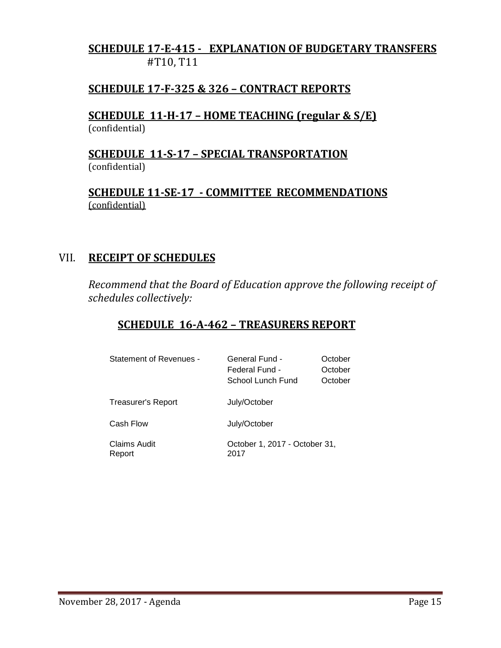# **SCHEDULE 17-E-415 - EXPLANATION OF BUDGETARY TRANSFERS** #T10, T11

# **SCHEDULE 17-F-325 & 326 – CONTRACT REPORTS**

**SCHEDULE 11-H-17 – HOME TEACHING (regular & S/E)**  (confidential)

**SCHEDULE 11-S-17 – SPECIAL TRANSPORTATION**  (confidential)

**SCHEDULE 11-SE-17 - COMMITTEE RECOMMENDATIONS** (confidential)

# VII. **RECEIPT OF SCHEDULES**

*Recommend that the Board of Education approve the following receipt of schedules collectively:*

# **SCHEDULE 16-A-462 – TREASURERS REPORT**

| <b>Statement of Revenues -</b> | General Fund -<br>Federal Fund -<br>School Lunch Fund | October<br>October<br>October |
|--------------------------------|-------------------------------------------------------|-------------------------------|
| Treasurer's Report             | July/October                                          |                               |
| Cash Flow                      | July/October                                          |                               |
| Claims Audit<br>Report         | October 1, 2017 - October 31,<br>2017                 |                               |